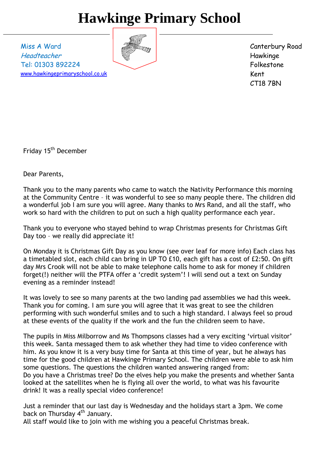# **Hawkinge Primary School**

Miss A Ward Headteacher Tel: 01303 892224 [www.hawkingeprimaryschool.co.uk](http://www.hawkingeprimaryschool.co.uk/)



Canterbury Road Hawkinge Folkestone Kent CT18 7BN

Friday 15<sup>th</sup> December

Dear Parents,

Thank you to the many parents who came to watch the Nativity Performance this morning at the Community Centre – it was wonderful to see so many people there. The children did a wonderful job I am sure you will agree. Many thanks to Mrs Rand, and all the staff, who work so hard with the children to put on such a high quality performance each year.

Thank you to everyone who stayed behind to wrap Christmas presents for Christmas Gift Day too – we really did appreciate it!

On Monday it is Christmas Gift Day as you know (see over leaf for more info) Each class has a timetabled slot, each child can bring in UP TO £10, each gift has a cost of £2:50. On gift day Mrs Crook will not be able to make telephone calls home to ask for money if children forget(!) neither will the PTFA offer a 'credit system'! I will send out a text on Sunday evening as a reminder instead!

It was lovely to see so many parents at the two landing pad assemblies we had this week. Thank you for coming. I am sure you will agree that it was great to see the children performing with such wonderful smiles and to such a high standard. I always feel so proud at these events of the quality if the work and the fun the children seem to have.

The pupils in Miss Milborrow and Ms Thompsons classes had a very exciting 'virtual visitor' this week. Santa messaged them to ask whether they had time to video conference with him. As you know it is a very busy time for Santa at this time of year, but he always has time for the good children at Hawkinge Primary School. The children were able to ask him some questions. The questions the children wanted answering ranged from: Do you have a Christmas tree? Do the elves help you make the presents and whether Santa looked at the satellites when he is flying all over the world, to what was his favourite drink! It was a really special video conference!

Just a reminder that our last day is Wednesday and the holidays start a 3pm. We come back on Thursday  $4<sup>th</sup>$  January.

All staff would like to join with me wishing you a peaceful Christmas break.